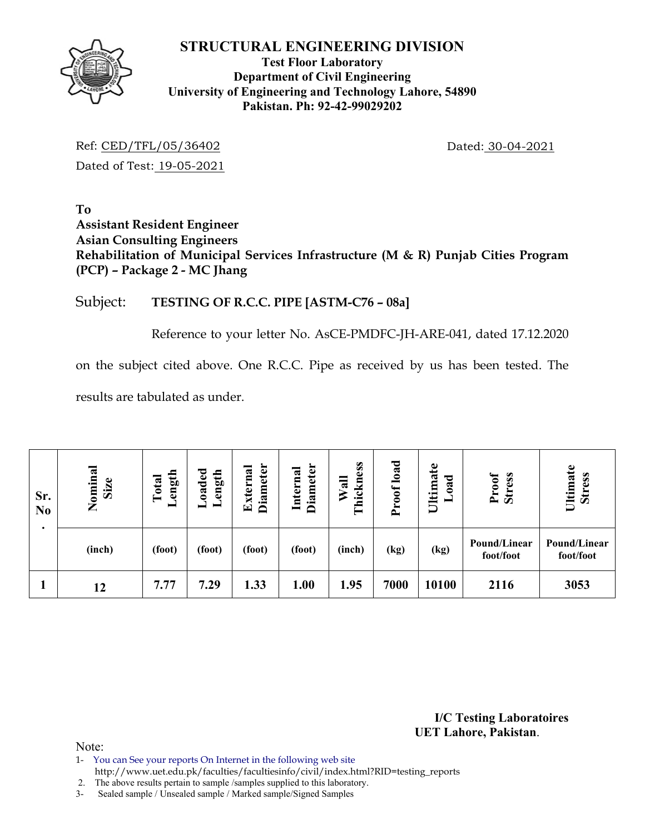

## **Test Floor Laboratory Department of Civil Engineering University of Engineering and Technology Lahore, 54890 Pakistan. Ph: 92-42-99029202**

Ref: CED/TFL/05/36402 Dated: 30-04-2021 Dated of Test: 19-05-2021

**To Assistant Resident Engineer Asian Consulting Engineers Rehabilitation of Municipal Services Infrastructure (M & R) Punjab Cities Program (PCP) – Package 2 - MC Jhang** 

## Subject: **TESTING OF R.C.C. PIPE [ASTM-C76 – 08a]**

Reference to your letter No. AsCE-PMDFC-JH-ARE-041, dated 17.12.2020

on the subject cited above. One R.C.C. Pipe as received by us has been tested. The

results are tabulated as under.

| Sr.<br>N <sub>0</sub><br>٠ | Nominal<br>Size | ength<br>Total<br>━ | Loaded<br>Length | Diameter<br>Externa | <b>Diameter</b><br>Internal | hickness<br>Wall<br>⊟ | load<br>roof<br>$\rightarrow$ | ate<br>ಕ<br><b>Ultima</b><br>$\boldsymbol{a}$ | Proof<br><b>Stress</b>    | Ultimate<br><b>Stress</b> |
|----------------------------|-----------------|---------------------|------------------|---------------------|-----------------------------|-----------------------|-------------------------------|-----------------------------------------------|---------------------------|---------------------------|
|                            | (inch)          | (foot)              | (foot)           | (foot)              | (foot)                      | (inch)                | (kg)                          | (kg)                                          | Pound/Linear<br>foot/foot | Pound/Linear<br>foot/foot |
|                            | 12              | 7.77                | 7.29             | 1.33                | 1.00                        | 1.95                  | 7000                          | 10100                                         | 2116                      | 3053                      |

**I/C Testing Laboratoires UET Lahore, Pakistan**.

Note:

1- You can See your reports On Internet in the following web site

http://www.uet.edu.pk/faculties/facultiesinfo/civil/index.html?RID=testing\_reports

2. The above results pertain to sample /samples supplied to this laboratory.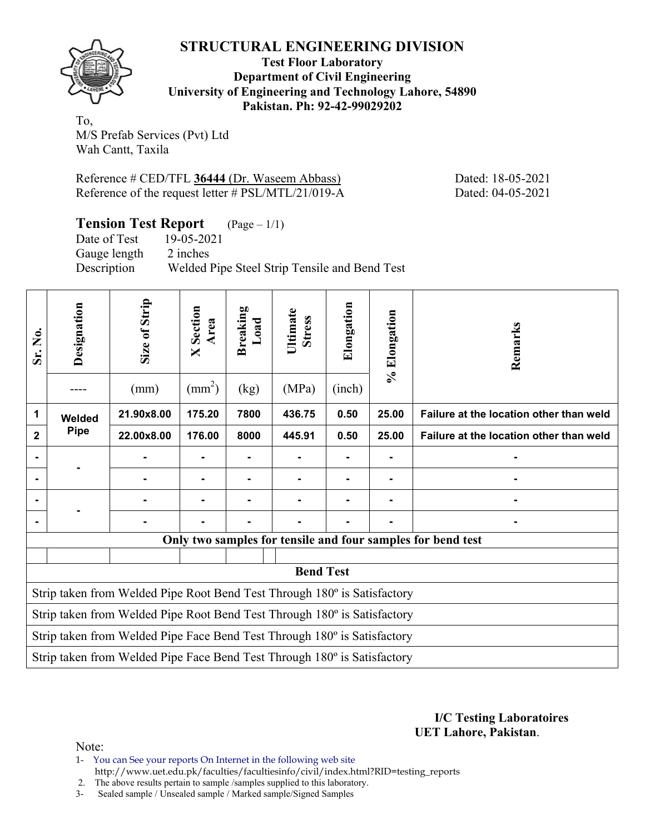

**Test Floor Laboratory Department of Civil Engineering University of Engineering and Technology Lahore, 54890 Pakistan. Ph: 92-42-99029202** 

To, M/S Prefab Services (Pvt) Ltd Wah Cantt, Taxila

Reference # CED/TFL **36444** (Dr. Waseem Abbass) Dated: 18-05-2021 Reference of the request letter # PSL/MTL/21/019-A Dated: 04-05-2021

**Tension Test Report** (Page – 1/1)

Date of Test 19-05-2021 Gauge length 2 inches

Description Welded Pipe Steel Strip Tensile and Bend Test

| Sr. No.                                                                  | Designation | Size of Strip<br>(mm)                                                    | Section<br>Area<br>$\mathsf{X}$<br>$\text{mm}^2$ ) | <b>Breaking</b><br>Load<br>(kg) | Ultimate<br><b>Stress</b><br>(MPa) | Elongation<br>(inch) | % Elongation | Remarks                                                     |  |  |
|--------------------------------------------------------------------------|-------------|--------------------------------------------------------------------------|----------------------------------------------------|---------------------------------|------------------------------------|----------------------|--------------|-------------------------------------------------------------|--|--|
| 1                                                                        | Welded      | 21.90x8.00                                                               | 175.20                                             | 7800                            | 436.75                             | 0.50                 | 25.00        | Failure at the location other than weld                     |  |  |
| $\mathbf{2}$                                                             | <b>Pipe</b> | 22.00x8.00                                                               | 176.00                                             | 8000                            | 445.91                             | 0.50                 | 25.00        | Failure at the location other than weld                     |  |  |
| $\blacksquare$                                                           |             |                                                                          |                                                    |                                 | ۰                                  |                      | Ξ.           |                                                             |  |  |
|                                                                          |             |                                                                          |                                                    |                                 | $\blacksquare$                     | ۰                    | -            |                                                             |  |  |
|                                                                          |             |                                                                          |                                                    |                                 |                                    |                      |              |                                                             |  |  |
|                                                                          |             |                                                                          |                                                    |                                 |                                    |                      |              |                                                             |  |  |
|                                                                          |             |                                                                          |                                                    |                                 |                                    |                      |              | Only two samples for tensile and four samples for bend test |  |  |
|                                                                          |             |                                                                          |                                                    |                                 |                                    |                      |              |                                                             |  |  |
|                                                                          |             |                                                                          |                                                    |                                 | <b>Bend Test</b>                   |                      |              |                                                             |  |  |
| Strip taken from Welded Pipe Root Bend Test Through 180° is Satisfactory |             |                                                                          |                                                    |                                 |                                    |                      |              |                                                             |  |  |
| Strip taken from Welded Pipe Root Bend Test Through 180° is Satisfactory |             |                                                                          |                                                    |                                 |                                    |                      |              |                                                             |  |  |
| Strip taken from Welded Pipe Face Bend Test Through 180° is Satisfactory |             |                                                                          |                                                    |                                 |                                    |                      |              |                                                             |  |  |
|                                                                          |             | Strip taken from Welded Pipe Face Bend Test Through 180° is Satisfactory |                                                    |                                 |                                    |                      |              |                                                             |  |  |

**I/C Testing Laboratoires UET Lahore, Pakistan**.

Note:

1- You can See your reports On Internet in the following web site http://www.uet.edu.pk/faculties/facultiesinfo/civil/index.html?RID=testing\_reports

2. The above results pertain to sample /samples supplied to this laboratory.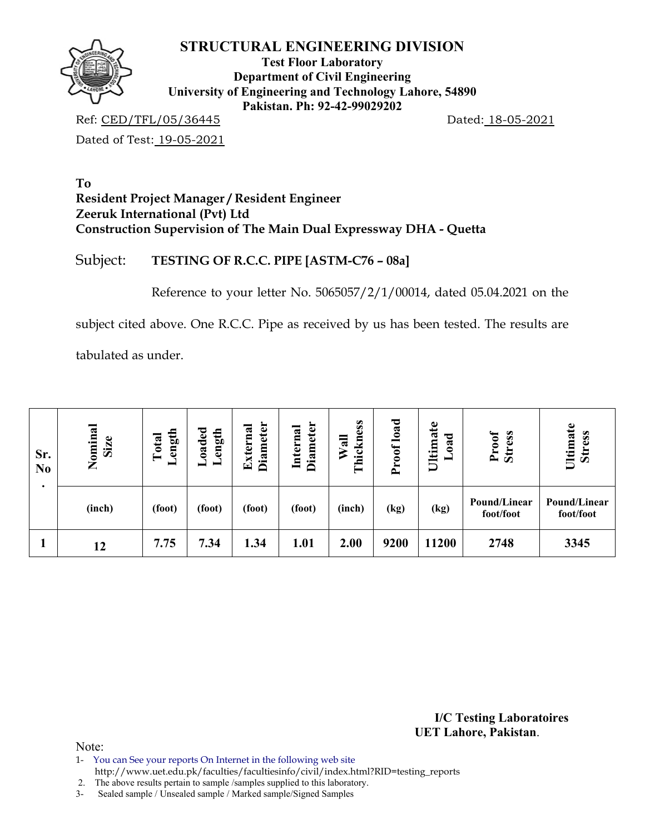

**Test Floor Laboratory Department of Civil Engineering University of Engineering and Technology Lahore, 54890 Pakistan. Ph: 92-42-99029202** 

Ref: CED/TFL/05/36445 Dated: 18-05-2021

Dated of Test: 19-05-2021

### **To Resident Project Manager / Resident Engineer Zeeruk International (Pvt) Ltd Construction Supervision of The Main Dual Expressway DHA - Quetta**

# Subject: **TESTING OF R.C.C. PIPE [ASTM-C76 – 08a]**

Reference to your letter No. 5065057/2/1/00014, dated 05.04.2021 on the

subject cited above. One R.C.C. Pipe as received by us has been tested. The results are

tabulated as under.

| Sr.<br>N <sub>0</sub> | Nominal<br>Size | ength<br>Total<br>$\overline{\phantom{0}}$ | oaded<br>ength | <b>Diameter</b><br>xterna<br>囯 | <b>Diameter</b><br>Internal | hickness<br>$W$ all<br>╒ | Proof load | Ultimate<br>oad<br>▬ | <b>Stress</b><br>Proof    | Ultimate<br><b>Stress</b> |
|-----------------------|-----------------|--------------------------------------------|----------------|--------------------------------|-----------------------------|--------------------------|------------|----------------------|---------------------------|---------------------------|
|                       | (inch)          | (foot)                                     | (foot)         | (foot)                         | (foot)                      | (inch)                   | (kg)       | (kg)                 | Pound/Linear<br>foot/foot | Pound/Linear<br>foot/foot |
|                       | 12              | 7.75                                       | 7.34           | 1.34                           | 1.01                        | 2.00                     | 9200       | 11200                | 2748                      | 3345                      |

**I/C Testing Laboratoires UET Lahore, Pakistan**.

Note:

1- You can See your reports On Internet in the following web site

 http://www.uet.edu.pk/faculties/facultiesinfo/civil/index.html?RID=testing\_reports 2. The above results pertain to sample /samples supplied to this laboratory.